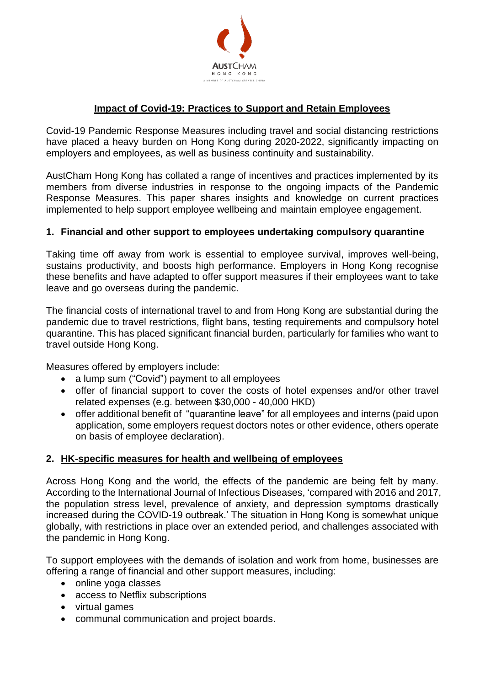

# **Impact of Covid-19: Practices to Support and Retain Employees**

Covid-19 Pandemic Response Measures including travel and social distancing restrictions have placed a heavy burden on Hong Kong during 2020-2022, significantly impacting on employers and employees, as well as business continuity and sustainability.

AustCham Hong Kong has collated a range of incentives and practices implemented by its members from diverse industries in response to the ongoing impacts of the Pandemic Response Measures. This paper shares insights and knowledge on current practices implemented to help support employee wellbeing and maintain employee engagement.

### **1. Financial and other support to employees undertaking compulsory quarantine**

Taking time off away from work is essential to employee survival, improves well-being, sustains productivity, and boosts high performance. Employers in Hong Kong recognise these benefits and have adapted to offer support measures if their employees want to take leave and go overseas during the pandemic.

The financial costs of international travel to and from Hong Kong are substantial during the pandemic due to travel restrictions, flight bans, testing requirements and compulsory hotel quarantine. This has placed significant financial burden, particularly for families who want to travel outside Hong Kong.

Measures offered by employers include:

- a lump sum ("Covid") payment to all employees
- offer of financial support to cover the costs of hotel expenses and/or other travel related expenses (e.g. between \$30,000 - 40,000 HKD)
- offer additional benefit of "quarantine leave" for all employees and interns (paid upon application, some employers request doctors notes or other evidence, others operate on basis of employee declaration).

#### **2. HK-specific measures for health and wellbeing of employees**

Across Hong Kong and the world, the effects of the pandemic are being felt by many. According to the International Journal of Infectious Diseases, 'compared with 2016 and 2017, the population stress level, prevalence of anxiety, and depression symptoms drastically increased during the COVID-19 outbreak.' The situation in Hong Kong is somewhat unique globally, with restrictions in place over an extended period, and challenges associated with the pandemic in Hong Kong.

To support employees with the demands of isolation and work from home, businesses are offering a range of financial and other support measures, including:

- online yoga classes
- access to Netflix subscriptions
- virtual games
- communal communication and project boards.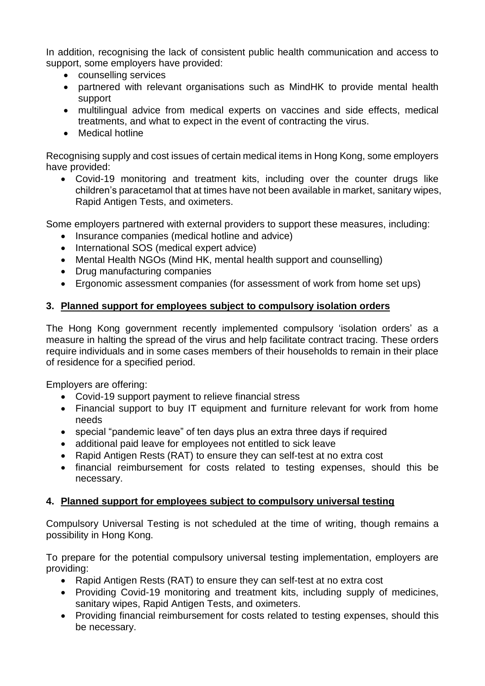In addition, recognising the lack of consistent public health communication and access to support, some employers have provided:

- counselling services
- partnered with relevant organisations such as MindHK to provide mental health support
- multilingual advice from medical experts on vaccines and side effects, medical treatments, and what to expect in the event of contracting the virus.
- Medical hotline

Recognising supply and cost issues of certain medical items in Hong Kong, some employers have provided:

• Covid-19 monitoring and treatment kits, including over the counter drugs like children's paracetamol that at times have not been available in market, sanitary wipes, Rapid Antigen Tests, and oximeters.

Some employers partnered with external providers to support these measures, including:

- Insurance companies (medical hotline and advice)
- International SOS (medical expert advice)
- Mental Health NGOs (Mind HK, mental health support and counselling)
- Drug manufacturing companies
- Ergonomic assessment companies (for assessment of work from home set ups)

### **3. Planned support for employees subject to compulsory isolation orders**

The Hong Kong government recently implemented compulsory 'isolation orders' as a measure in halting the spread of the virus and help facilitate contract tracing. These orders require individuals and in some cases members of their households to remain in their place of residence for a specified period.

Employers are offering:

- Covid-19 support payment to relieve financial stress
- Financial support to buy IT equipment and furniture relevant for work from home needs
- special "pandemic leave" of ten days plus an extra three days if required
- additional paid leave for employees not entitled to sick leave
- Rapid Antigen Rests (RAT) to ensure they can self-test at no extra cost
- financial reimbursement for costs related to testing expenses, should this be necessary.

#### **4. Planned support for employees subject to compulsory universal testing**

Compulsory Universal Testing is not scheduled at the time of writing, though remains a possibility in Hong Kong.

To prepare for the potential compulsory universal testing implementation, employers are providing:

- Rapid Antigen Rests (RAT) to ensure they can self-test at no extra cost
- Providing Covid-19 monitoring and treatment kits, including supply of medicines, sanitary wipes, Rapid Antigen Tests, and oximeters.
- Providing financial reimbursement for costs related to testing expenses, should this be necessary.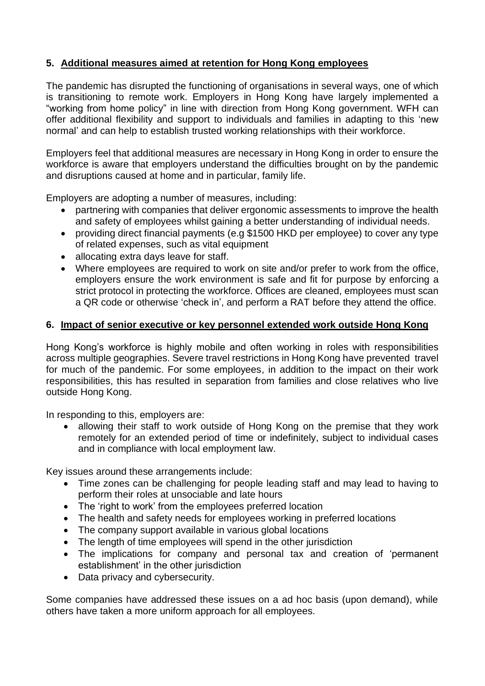# **5. Additional measures aimed at retention for Hong Kong employees**

The pandemic has disrupted the functioning of organisations in several ways, one of which is transitioning to remote work. Employers in Hong Kong have largely implemented a "working from home policy" in line with direction from Hong Kong government. WFH can offer additional flexibility and support to individuals and families in adapting to this 'new normal' and can help to establish trusted working relationships with their workforce.

Employers feel that additional measures are necessary in Hong Kong in order to ensure the workforce is aware that employers understand the difficulties brought on by the pandemic and disruptions caused at home and in particular, family life.

Employers are adopting a number of measures, including:

- partnering with companies that deliver ergonomic assessments to improve the health and safety of employees whilst gaining a better understanding of individual needs.
- providing direct financial payments (e.g \$1500 HKD per employee) to cover any type of related expenses, such as vital equipment
- allocating extra days leave for staff.
- Where employees are required to work on site and/or prefer to work from the office, employers ensure the work environment is safe and fit for purpose by enforcing a strict protocol in protecting the workforce. Offices are cleaned, employees must scan a QR code or otherwise 'check in', and perform a RAT before they attend the office.

## **6. Impact of senior executive or key personnel extended work outside Hong Kong**

Hong Kong's workforce is highly mobile and often working in roles with responsibilities across multiple geographies. Severe travel restrictions in Hong Kong have prevented travel for much of the pandemic. For some employees, in addition to the impact on their work responsibilities, this has resulted in separation from families and close relatives who live outside Hong Kong.

In responding to this, employers are:

• allowing their staff to work outside of Hong Kong on the premise that they work remotely for an extended period of time or indefinitely, subject to individual cases and in compliance with local employment law.

Key issues around these arrangements include:

- Time zones can be challenging for people leading staff and may lead to having to perform their roles at unsociable and late hours
- The 'right to work' from the employees preferred location
- The health and safety needs for employees working in preferred locations
- The company support available in various global locations
- The length of time employees will spend in the other jurisdiction
- The implications for company and personal tax and creation of 'permanent establishment' in the other jurisdiction
- Data privacy and cybersecurity.

Some companies have addressed these issues on a ad hoc basis (upon demand), while others have taken a more uniform approach for all employees.